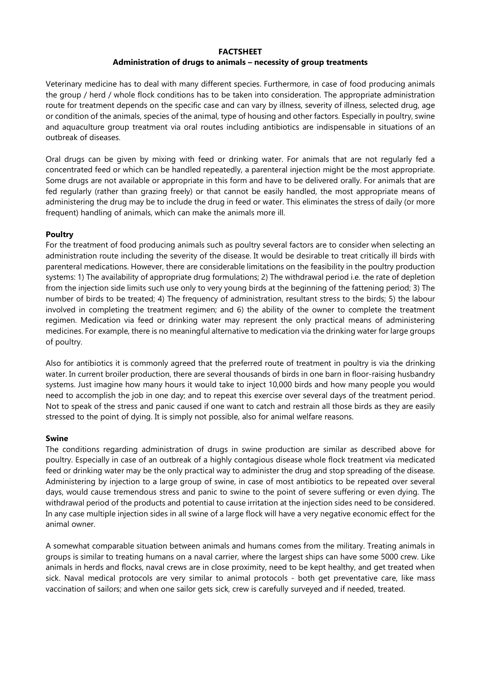### FACTSHEET

# Administration of drugs to animals – necessity of group treatments

Veterinary medicine has to deal with many different species. Furthermore, in case of food producing animals the group / herd / whole flock conditions has to be taken into consideration. The appropriate administration route for treatment depends on the specific case and can vary by illness, severity of illness, selected drug, age or condition of the animals, species of the animal, type of housing and other factors. Especially in poultry, swine and aquaculture group treatment via oral routes including antibiotics are indispensable in situations of an outbreak of diseases.

Oral drugs can be given by mixing with feed or drinking water. For animals that are not regularly fed a concentrated feed or which can be handled repeatedly, a parenteral injection might be the most appropriate. Some drugs are not available or appropriate in this form and have to be delivered orally. For animals that are fed regularly (rather than grazing freely) or that cannot be easily handled, the most appropriate means of administering the drug may be to include the drug in feed or water. This eliminates the stress of daily (or more frequent) handling of animals, which can make the animals more ill.

## Poultry

For the treatment of food producing animals such as poultry several factors are to consider when selecting an administration route including the severity of the disease. It would be desirable to treat critically ill birds with parenteral medications. However, there are considerable limitations on the feasibility in the poultry production systems: 1) The availability of appropriate drug formulations; 2) The withdrawal period i.e. the rate of depletion from the injection side limits such use only to very young birds at the beginning of the fattening period; 3) The number of birds to be treated; 4) The frequency of administration, resultant stress to the birds; 5) the labour involved in completing the treatment regimen; and 6) the ability of the owner to complete the treatment regimen. Medication via feed or drinking water may represent the only practical means of administering medicines. For example, there is no meaningful alternative to medication via the drinking water for large groups of poultry.

Also for antibiotics it is commonly agreed that the preferred route of treatment in poultry is via the drinking water. In current broiler production, there are several thousands of birds in one barn in floor-raising husbandry systems. Just imagine how many hours it would take to inject 10,000 birds and how many people you would need to accomplish the job in one day; and to repeat this exercise over several days of the treatment period. Not to speak of the stress and panic caused if one want to catch and restrain all those birds as they are easily stressed to the point of dying. It is simply not possible, also for animal welfare reasons.

## Swine

The conditions regarding administration of drugs in swine production are similar as described above for poultry. Especially in case of an outbreak of a highly contagious disease whole flock treatment via medicated feed or drinking water may be the only practical way to administer the drug and stop spreading of the disease. Administering by injection to a large group of swine, in case of most antibiotics to be repeated over several days, would cause tremendous stress and panic to swine to the point of severe suffering or even dying. The withdrawal period of the products and potential to cause irritation at the injection sides need to be considered. In any case multiple injection sides in all swine of a large flock will have a very negative economic effect for the animal owner.

A somewhat comparable situation between animals and humans comes from the military. Treating animals in groups is similar to treating humans on a naval carrier, where the largest ships can have some 5000 crew. Like animals in herds and flocks, naval crews are in close proximity, need to be kept healthy, and get treated when sick. Naval medical protocols are very similar to animal protocols - both get preventative care, like mass vaccination of sailors; and when one sailor gets sick, crew is carefully surveyed and if needed, treated.